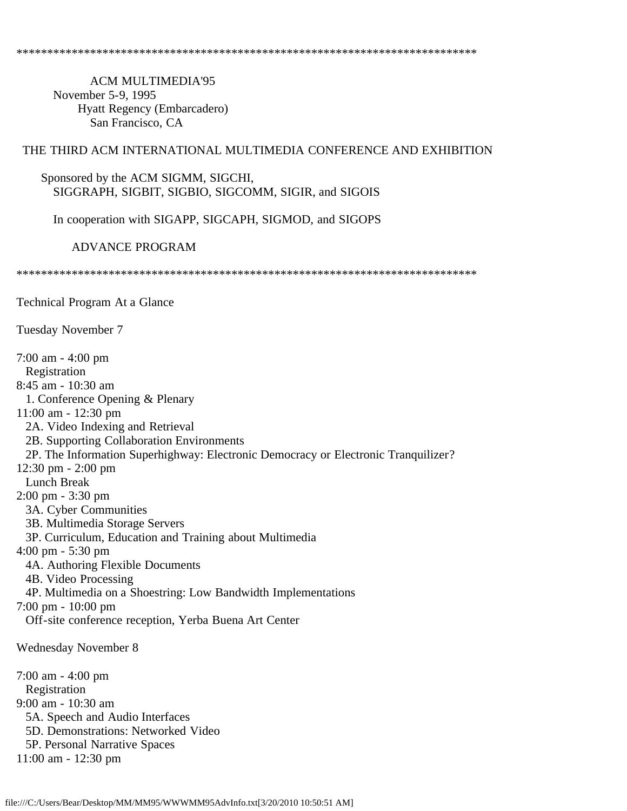ACM MULTIMEDIA'95 November 5-9, 1995 Hyatt Regency (Embarcadero) San Francisco, CA

## THE THIRD ACM INTERNATIONAL MULTIMEDIA CONFERENCE AND EXHIBITION

#### Sponsored by the ACM SIGMM, SIGCHI, SIGGRAPH, SIGBIT, SIGBIO, SIGCOMM, SIGIR, and SIGOIS

In cooperation with SIGAPP, SIGCAPH, SIGMOD, and SIGOPS

ADVANCE PROGRAM

\*\*\*\*\*\*\*\*\*\*\*\*\*\*\*\*\*\*\*\*\*\*\*\*\*\*\*\*\*\*\*\*\*\*\*\*\*\*\*\*\*\*\*\*\*\*\*\*\*\*\*\*\*\*\*\*\*\*\*\*\*\*\*\*\*\*\*\*\*\*\*\*\*\*\*

Technical Program At a Glance

Tuesday November 7

7:00 am - 4:00 pm Registration 8:45 am - 10:30 am 1. Conference Opening & Plenary 11:00 am - 12:30 pm 2A. Video Indexing and Retrieval 2B. Supporting Collaboration Environments 2P. The Information Superhighway: Electronic Democracy or Electronic Tranquilizer? 12:30 pm - 2:00 pm Lunch Break 2:00 pm - 3:30 pm 3A. Cyber Communities 3B. Multimedia Storage Servers 3P. Curriculum, Education and Training about Multimedia 4:00 pm - 5:30 pm 4A. Authoring Flexible Documents 4B. Video Processing 4P. Multimedia on a Shoestring: Low Bandwidth Implementations 7:00 pm - 10:00 pm Off-site conference reception, Yerba Buena Art Center Wednesday November 8 7:00 am - 4:00 pm Registration 9:00 am - 10:30 am 5A. Speech and Audio Interfaces 5D. Demonstrations: Networked Video 5P. Personal Narrative Spaces 11:00 am - 12:30 pm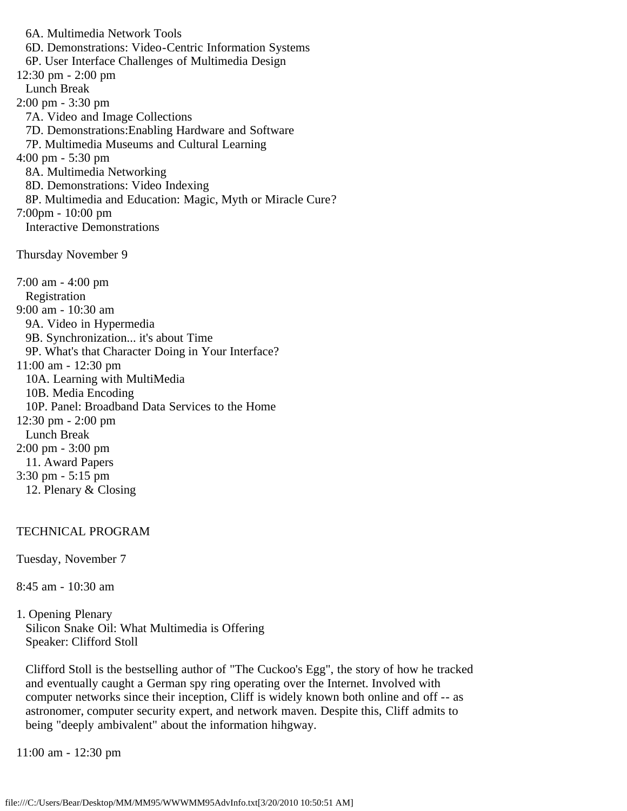6A. Multimedia Network Tools 6D. Demonstrations: Video-Centric Information Systems 6P. User Interface Challenges of Multimedia Design 12:30 pm - 2:00 pm Lunch Break 2:00 pm - 3:30 pm 7A. Video and Image Collections 7D. Demonstrations:Enabling Hardware and Software 7P. Multimedia Museums and Cultural Learning 4:00 pm - 5:30 pm 8A. Multimedia Networking 8D. Demonstrations: Video Indexing 8P. Multimedia and Education: Magic, Myth or Miracle Cure? 7:00pm - 10:00 pm Interactive Demonstrations Thursday November 9 7:00 am - 4:00 pm Registration 9:00 am - 10:30 am 9A. Video in Hypermedia 9B. Synchronization... it's about Time 9P. What's that Character Doing in Your Interface? 11:00 am - 12:30 pm 10A. Learning with MultiMedia 10B. Media Encoding 10P. Panel: Broadband Data Services to the Home 12:30 pm - 2:00 pm Lunch Break 2:00 pm - 3:00 pm 11. Award Papers 3:30 pm - 5:15 pm 12. Plenary & Closing

# TECHNICAL PROGRAM

Tuesday, November 7

8:45 am - 10:30 am

1. Opening Plenary Silicon Snake Oil: What Multimedia is Offering Speaker: Clifford Stoll

 Clifford Stoll is the bestselling author of "The Cuckoo's Egg", the story of how he tracked and eventually caught a German spy ring operating over the Internet. Involved with computer networks since their inception, Cliff is widely known both online and off -- as astronomer, computer security expert, and network maven. Despite this, Cliff admits to being "deeply ambivalent" about the information hihgway.

11:00 am - 12:30 pm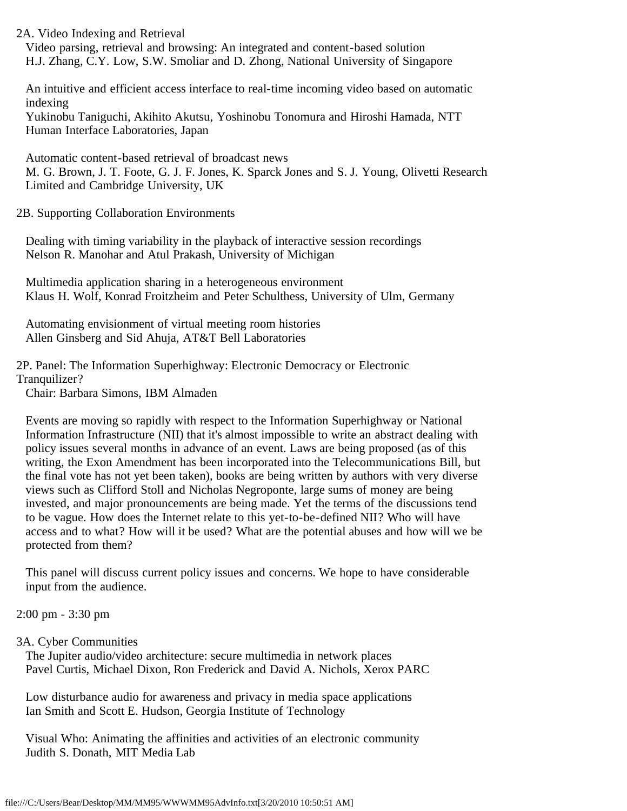2A. Video Indexing and Retrieval Video parsing, retrieval and browsing: An integrated and content-based solution H.J. Zhang, C.Y. Low, S.W. Smoliar and D. Zhong, National University of Singapore

 An intuitive and efficient access interface to real-time incoming video based on automatic indexing

 Yukinobu Taniguchi, Akihito Akutsu, Yoshinobu Tonomura and Hiroshi Hamada, NTT Human Interface Laboratories, Japan

 Automatic content-based retrieval of broadcast news M. G. Brown, J. T. Foote, G. J. F. Jones, K. Sparck Jones and S. J. Young, Olivetti Research Limited and Cambridge University, UK

2B. Supporting Collaboration Environments

 Dealing with timing variability in the playback of interactive session recordings Nelson R. Manohar and Atul Prakash, University of Michigan

 Multimedia application sharing in a heterogeneous environment Klaus H. Wolf, Konrad Froitzheim and Peter Schulthess, University of Ulm, Germany

 Automating envisionment of virtual meeting room histories Allen Ginsberg and Sid Ahuja, AT&T Bell Laboratories

2P. Panel: The Information Superhighway: Electronic Democracy or Electronic Tranquilizer?

Chair: Barbara Simons, IBM Almaden

 Events are moving so rapidly with respect to the Information Superhighway or National Information Infrastructure (NII) that it's almost impossible to write an abstract dealing with policy issues several months in advance of an event. Laws are being proposed (as of this writing, the Exon Amendment has been incorporated into the Telecommunications Bill, but the final vote has not yet been taken), books are being written by authors with very diverse views such as Clifford Stoll and Nicholas Negroponte, large sums of money are being invested, and major pronouncements are being made. Yet the terms of the discussions tend to be vague. How does the Internet relate to this yet-to-be-defined NII? Who will have access and to what? How will it be used? What are the potential abuses and how will we be protected from them?

 This panel will discuss current policy issues and concerns. We hope to have considerable input from the audience.

2:00 pm - 3:30 pm

# 3A. Cyber Communities

 The Jupiter audio/video architecture: secure multimedia in network places Pavel Curtis, Michael Dixon, Ron Frederick and David A. Nichols, Xerox PARC

 Low disturbance audio for awareness and privacy in media space applications Ian Smith and Scott E. Hudson, Georgia Institute of Technology

 Visual Who: Animating the affinities and activities of an electronic community Judith S. Donath, MIT Media Lab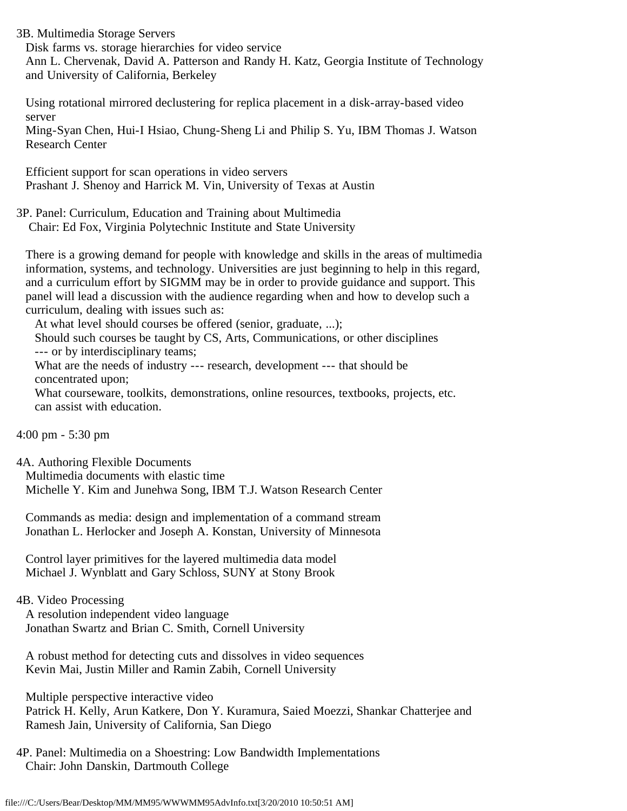3B. Multimedia Storage Servers

 Disk farms vs. storage hierarchies for video service Ann L. Chervenak, David A. Patterson and Randy H. Katz, Georgia Institute of Technology and University of California, Berkeley

 Using rotational mirrored declustering for replica placement in a disk-array-based video server

 Ming-Syan Chen, Hui-I Hsiao, Chung-Sheng Li and Philip S. Yu, IBM Thomas J. Watson Research Center

 Efficient support for scan operations in video servers Prashant J. Shenoy and Harrick M. Vin, University of Texas at Austin

3P. Panel: Curriculum, Education and Training about Multimedia Chair: Ed Fox, Virginia Polytechnic Institute and State University

 There is a growing demand for people with knowledge and skills in the areas of multimedia information, systems, and technology. Universities are just beginning to help in this regard, and a curriculum effort by SIGMM may be in order to provide guidance and support. This panel will lead a discussion with the audience regarding when and how to develop such a curriculum, dealing with issues such as:

At what level should courses be offered (senior, graduate, ...);

 Should such courses be taught by CS, Arts, Communications, or other disciplines --- or by interdisciplinary teams;

 What are the needs of industry --- research, development --- that should be concentrated upon;

 What courseware, toolkits, demonstrations, online resources, textbooks, projects, etc. can assist with education.

```
4:00 pm - 5:30 pm
```
4A. Authoring Flexible Documents Multimedia documents with elastic time Michelle Y. Kim and Junehwa Song, IBM T.J. Watson Research Center

 Commands as media: design and implementation of a command stream Jonathan L. Herlocker and Joseph A. Konstan, University of Minnesota

 Control layer primitives for the layered multimedia data model Michael J. Wynblatt and Gary Schloss, SUNY at Stony Brook

# 4B. Video Processing

 A resolution independent video language Jonathan Swartz and Brian C. Smith, Cornell University

 A robust method for detecting cuts and dissolves in video sequences Kevin Mai, Justin Miller and Ramin Zabih, Cornell University

 Multiple perspective interactive video Patrick H. Kelly, Arun Katkere, Don Y. Kuramura, Saied Moezzi, Shankar Chatterjee and Ramesh Jain, University of California, San Diego

4P. Panel: Multimedia on a Shoestring: Low Bandwidth Implementations Chair: John Danskin, Dartmouth College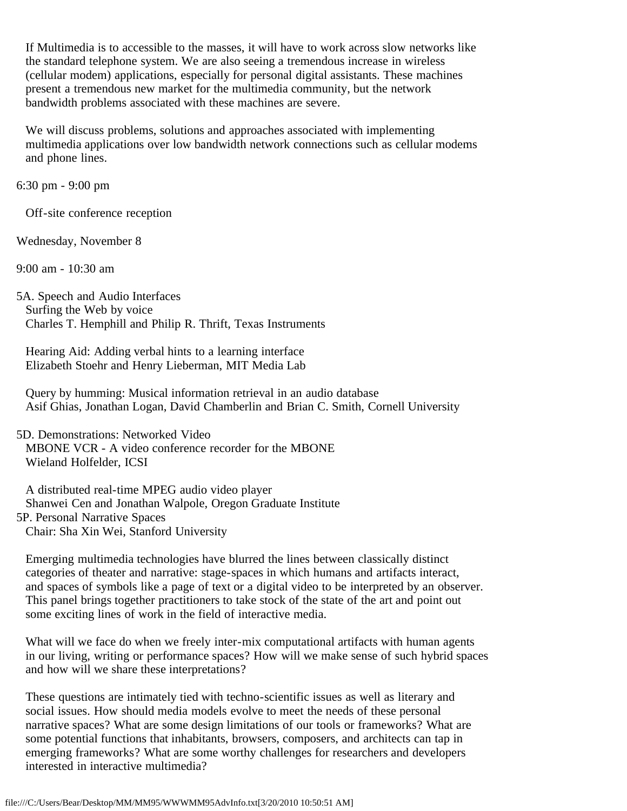If Multimedia is to accessible to the masses, it will have to work across slow networks like the standard telephone system. We are also seeing a tremendous increase in wireless (cellular modem) applications, especially for personal digital assistants. These machines present a tremendous new market for the multimedia community, but the network bandwidth problems associated with these machines are severe.

 We will discuss problems, solutions and approaches associated with implementing multimedia applications over low bandwidth network connections such as cellular modems and phone lines.

6:30 pm - 9:00 pm

Off-site conference reception

Wednesday, November 8

9:00 am - 10:30 am

5A. Speech and Audio Interfaces Surfing the Web by voice Charles T. Hemphill and Philip R. Thrift, Texas Instruments

 Hearing Aid: Adding verbal hints to a learning interface Elizabeth Stoehr and Henry Lieberman, MIT Media Lab

 Query by humming: Musical information retrieval in an audio database Asif Ghias, Jonathan Logan, David Chamberlin and Brian C. Smith, Cornell University

5D. Demonstrations: Networked Video MBONE VCR - A video conference recorder for the MBONE Wieland Holfelder, ICSI

 A distributed real-time MPEG audio video player Shanwei Cen and Jonathan Walpole, Oregon Graduate Institute 5P. Personal Narrative Spaces Chair: Sha Xin Wei, Stanford University

 Emerging multimedia technologies have blurred the lines between classically distinct categories of theater and narrative: stage-spaces in which humans and artifacts interact, and spaces of symbols like a page of text or a digital video to be interpreted by an observer. This panel brings together practitioners to take stock of the state of the art and point out some exciting lines of work in the field of interactive media.

 What will we face do when we freely inter-mix computational artifacts with human agents in our living, writing or performance spaces? How will we make sense of such hybrid spaces and how will we share these interpretations?

 These questions are intimately tied with techno-scientific issues as well as literary and social issues. How should media models evolve to meet the needs of these personal narrative spaces? What are some design limitations of our tools or frameworks? What are some potential functions that inhabitants, browsers, composers, and architects can tap in emerging frameworks? What are some worthy challenges for researchers and developers interested in interactive multimedia?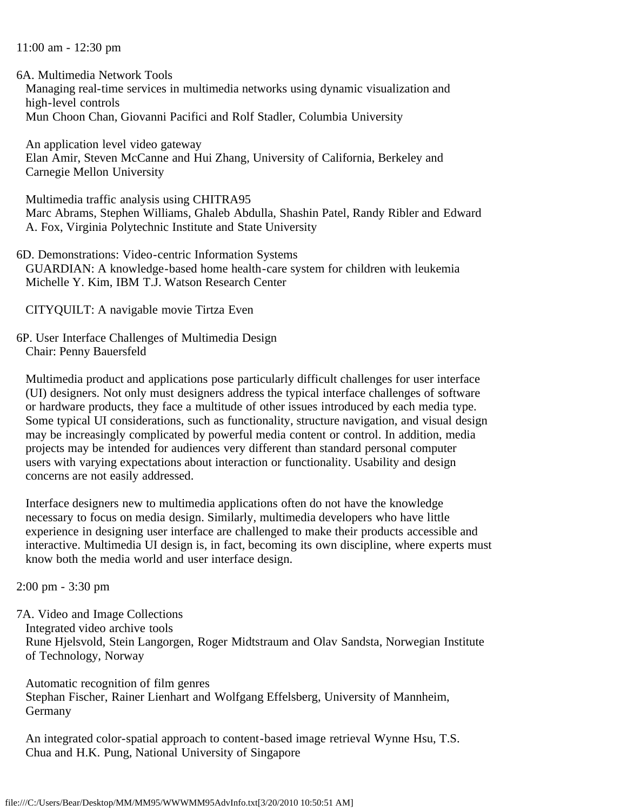## 11:00 am - 12:30 pm

6A. Multimedia Network Tools

 Managing real-time services in multimedia networks using dynamic visualization and high-level controls Mun Choon Chan, Giovanni Pacifici and Rolf Stadler, Columbia University

 An application level video gateway Elan Amir, Steven McCanne and Hui Zhang, University of California, Berkeley and Carnegie Mellon University

 Multimedia traffic analysis using CHITRA95 Marc Abrams, Stephen Williams, Ghaleb Abdulla, Shashin Patel, Randy Ribler and Edward A. Fox, Virginia Polytechnic Institute and State University

6D. Demonstrations: Video-centric Information Systems GUARDIAN: A knowledge-based home health-care system for children with leukemia Michelle Y. Kim, IBM T.J. Watson Research Center

CITYQUILT: A navigable movie Tirtza Even

6P. User Interface Challenges of Multimedia Design Chair: Penny Bauersfeld

 Multimedia product and applications pose particularly difficult challenges for user interface (UI) designers. Not only must designers address the typical interface challenges of software or hardware products, they face a multitude of other issues introduced by each media type. Some typical UI considerations, such as functionality, structure navigation, and visual design may be increasingly complicated by powerful media content or control. In addition, media projects may be intended for audiences very different than standard personal computer users with varying expectations about interaction or functionality. Usability and design concerns are not easily addressed.

 Interface designers new to multimedia applications often do not have the knowledge necessary to focus on media design. Similarly, multimedia developers who have little experience in designing user interface are challenged to make their products accessible and interactive. Multimedia UI design is, in fact, becoming its own discipline, where experts must know both the media world and user interface design.

2:00 pm - 3:30 pm

7A. Video and Image Collections Integrated video archive tools Rune Hjelsvold, Stein Langorgen, Roger Midtstraum and Olav Sandsta, Norwegian Institute of Technology, Norway

 Automatic recognition of film genres Stephan Fischer, Rainer Lienhart and Wolfgang Effelsberg, University of Mannheim, Germany

 An integrated color-spatial approach to content-based image retrieval Wynne Hsu, T.S. Chua and H.K. Pung, National University of Singapore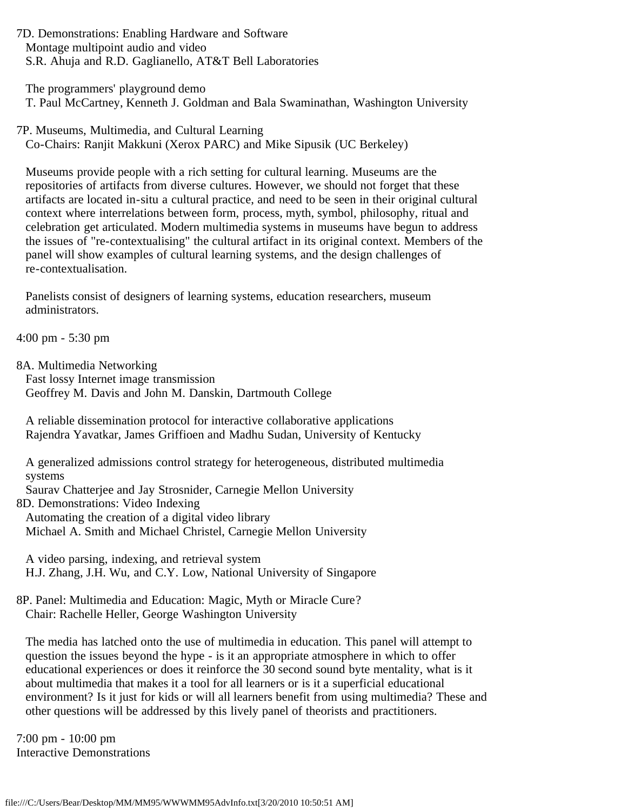7D. Demonstrations: Enabling Hardware and Software Montage multipoint audio and video S.R. Ahuja and R.D. Gaglianello, AT&T Bell Laboratories

 The programmers' playground demo T. Paul McCartney, Kenneth J. Goldman and Bala Swaminathan, Washington University

7P. Museums, Multimedia, and Cultural Learning Co-Chairs: Ranjit Makkuni (Xerox PARC) and Mike Sipusik (UC Berkeley)

 Museums provide people with a rich setting for cultural learning. Museums are the repositories of artifacts from diverse cultures. However, we should not forget that these artifacts are located in-situ a cultural practice, and need to be seen in their original cultural context where interrelations between form, process, myth, symbol, philosophy, ritual and celebration get articulated. Modern multimedia systems in museums have begun to address the issues of "re-contextualising" the cultural artifact in its original context. Members of the panel will show examples of cultural learning systems, and the design challenges of re-contextualisation.

 Panelists consist of designers of learning systems, education researchers, museum administrators.

4:00 pm - 5:30 pm

8A. Multimedia Networking

 Fast lossy Internet image transmission Geoffrey M. Davis and John M. Danskin, Dartmouth College

 A reliable dissemination protocol for interactive collaborative applications Rajendra Yavatkar, James Griffioen and Madhu Sudan, University of Kentucky

 A generalized admissions control strategy for heterogeneous, distributed multimedia systems

Saurav Chatterjee and Jay Strosnider, Carnegie Mellon University

8D. Demonstrations: Video Indexing

 Automating the creation of a digital video library Michael A. Smith and Michael Christel, Carnegie Mellon University

 A video parsing, indexing, and retrieval system H.J. Zhang, J.H. Wu, and C.Y. Low, National University of Singapore

8P. Panel: Multimedia and Education: Magic, Myth or Miracle Cure? Chair: Rachelle Heller, George Washington University

 The media has latched onto the use of multimedia in education. This panel will attempt to question the issues beyond the hype - is it an appropriate atmosphere in which to offer educational experiences or does it reinforce the 30 second sound byte mentality, what is it about multimedia that makes it a tool for all learners or is it a superficial educational environment? Is it just for kids or will all learners benefit from using multimedia? These and other questions will be addressed by this lively panel of theorists and practitioners.

7:00 pm - 10:00 pm Interactive Demonstrations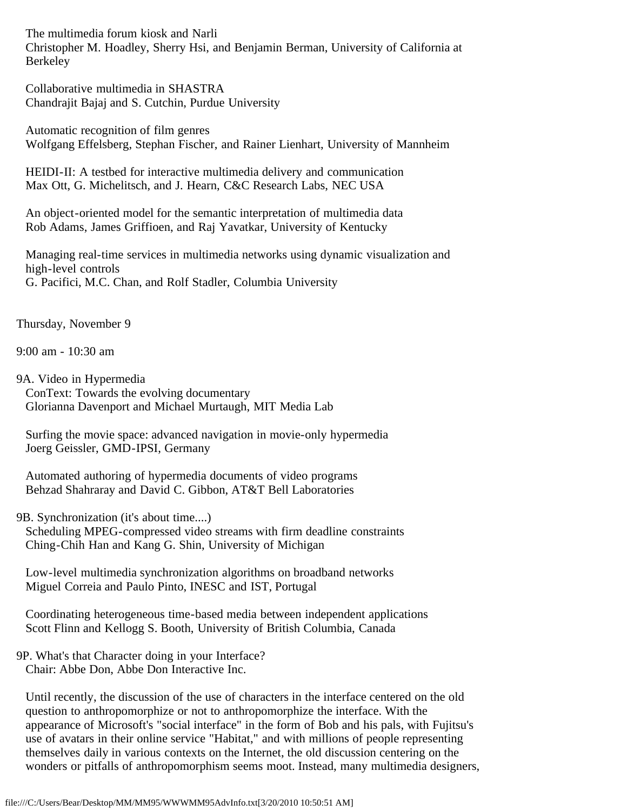The multimedia forum kiosk and Narli Christopher M. Hoadley, Sherry Hsi, and Benjamin Berman, University of California at Berkeley

 Collaborative multimedia in SHASTRA Chandrajit Bajaj and S. Cutchin, Purdue University

 Automatic recognition of film genres Wolfgang Effelsberg, Stephan Fischer, and Rainer Lienhart, University of Mannheim

 HEIDI-II: A testbed for interactive multimedia delivery and communication Max Ott, G. Michelitsch, and J. Hearn, C&C Research Labs, NEC USA

 An object-oriented model for the semantic interpretation of multimedia data Rob Adams, James Griffioen, and Raj Yavatkar, University of Kentucky

 Managing real-time services in multimedia networks using dynamic visualization and high-level controls G. Pacifici, M.C. Chan, and Rolf Stadler, Columbia University

Thursday, November 9

9:00 am - 10:30 am

9A. Video in Hypermedia ConText: Towards the evolving documentary Glorianna Davenport and Michael Murtaugh, MIT Media Lab

 Surfing the movie space: advanced navigation in movie-only hypermedia Joerg Geissler, GMD-IPSI, Germany

 Automated authoring of hypermedia documents of video programs Behzad Shahraray and David C. Gibbon, AT&T Bell Laboratories

9B. Synchronization (it's about time....)

 Scheduling MPEG-compressed video streams with firm deadline constraints Ching-Chih Han and Kang G. Shin, University of Michigan

 Low-level multimedia synchronization algorithms on broadband networks Miguel Correia and Paulo Pinto, INESC and IST, Portugal

 Coordinating heterogeneous time-based media between independent applications Scott Flinn and Kellogg S. Booth, University of British Columbia, Canada

## 9P. What's that Character doing in your Interface? Chair: Abbe Don, Abbe Don Interactive Inc.

 Until recently, the discussion of the use of characters in the interface centered on the old question to anthropomorphize or not to anthropomorphize the interface. With the appearance of Microsoft's "social interface" in the form of Bob and his pals, with Fujitsu's use of avatars in their online service "Habitat," and with millions of people representing themselves daily in various contexts on the Internet, the old discussion centering on the wonders or pitfalls of anthropomorphism seems moot. Instead, many multimedia designers,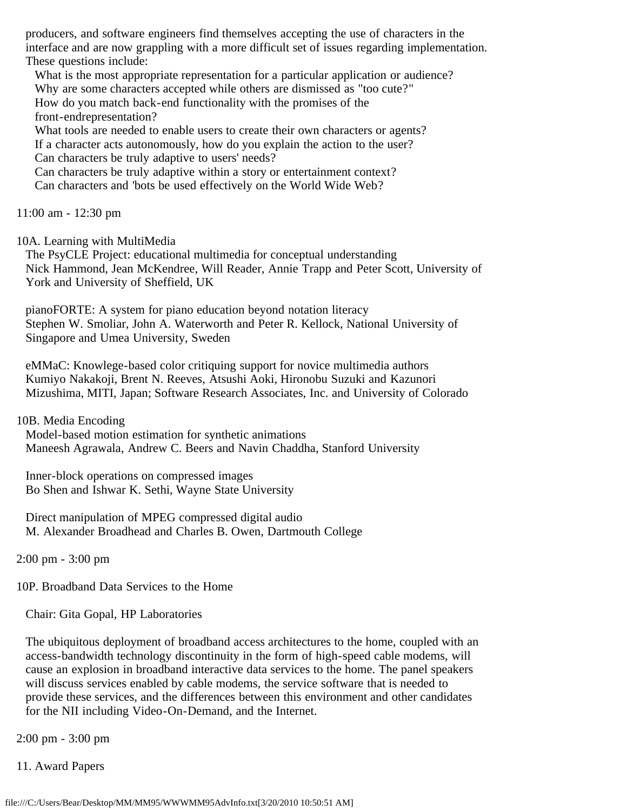producers, and software engineers find themselves accepting the use of characters in the interface and are now grappling with a more difficult set of issues regarding implementation. These questions include:

What is the most appropriate representation for a particular application or audience? Why are some characters accepted while others are dismissed as "too cute?" How do you match back-end functionality with the promises of the front-endrepresentation?

 What tools are needed to enable users to create their own characters or agents? If a character acts autonomously, how do you explain the action to the user? Can characters be truly adaptive to users' needs?

 Can characters be truly adaptive within a story or entertainment context? Can characters and 'bots be used effectively on the World Wide Web?

11:00 am - 12:30 pm

10A. Learning with MultiMedia

 The PsyCLE Project: educational multimedia for conceptual understanding Nick Hammond, Jean McKendree, Will Reader, Annie Trapp and Peter Scott, University of York and University of Sheffield, UK

 pianoFORTE: A system for piano education beyond notation literacy Stephen W. Smoliar, John A. Waterworth and Peter R. Kellock, National University of Singapore and Umea University, Sweden

 eMMaC: Knowlege-based color critiquing support for novice multimedia authors Kumiyo Nakakoji, Brent N. Reeves, Atsushi Aoki, Hironobu Suzuki and Kazunori Mizushima, MITI, Japan; Software Research Associates, Inc. and University of Colorado

10B. Media Encoding

 Model-based motion estimation for synthetic animations Maneesh Agrawala, Andrew C. Beers and Navin Chaddha, Stanford University

 Inner-block operations on compressed images Bo Shen and Ishwar K. Sethi, Wayne State University

 Direct manipulation of MPEG compressed digital audio M. Alexander Broadhead and Charles B. Owen, Dartmouth College

2:00 pm - 3:00 pm

10P. Broadband Data Services to the Home

Chair: Gita Gopal, HP Laboratories

 The ubiquitous deployment of broadband access architectures to the home, coupled with an access-bandwidth technology discontinuity in the form of high-speed cable modems, will cause an explosion in broadband interactive data services to the home. The panel speakers will discuss services enabled by cable modems, the service software that is needed to provide these services, and the differences between this environment and other candidates for the NII including Video-On-Demand, and the Internet.

2:00 pm - 3:00 pm

11. Award Papers